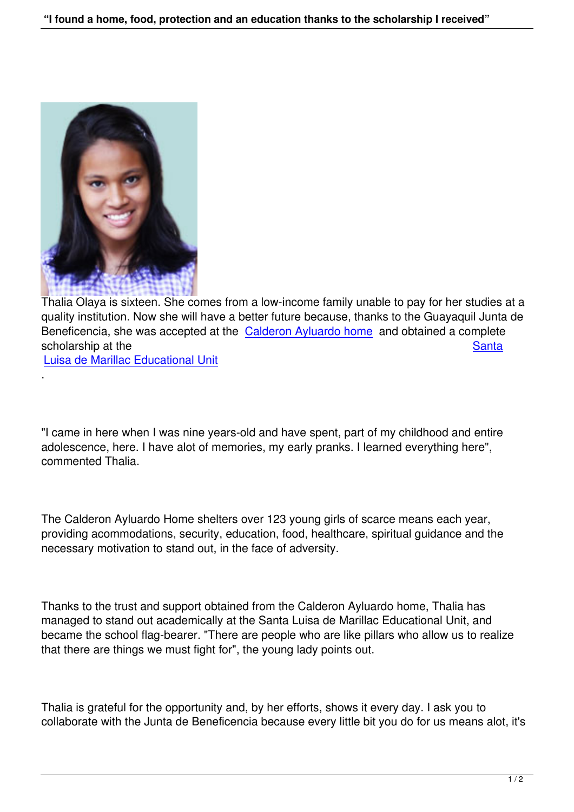

Thalia Olaya is sixteen. She comes from a low-income family unable to pay for her studies at a quality institution. Now she will have a better future because, thanks to the Guayaquil Junta de Beneficencia, she was accepted at the Calderon Ayluardo home and obtained a complete scholarship at the Santa Santa Santa Santa Santa Santa Santa Santa Santa Santa Santa Santa Santa Santa Santa Santa

Luisa de Marillac Educational Unit

.

"I came in here when I was nine years-old and have spent, part of my childhood and entire adolescence, here. I have alot of memories, my early pranks. I learned everything here", commented Thalia.

The Calderon Ayluardo Home shelters over 123 young girls of scarce means each year, providing acommodations, security, education, food, healthcare, spiritual guidance and the necessary motivation to stand out, in the face of adversity.

Thanks to the trust and support obtained from the Calderon Ayluardo home, Thalia has managed to stand out academically at the Santa Luisa de Marillac Educational Unit, and became the school flag-bearer. "There are people who are like pillars who allow us to realize that there are things we must fight for", the young lady points out.

Thalia is grateful for the opportunity and, by her efforts, shows it every day. I ask you to collaborate with the Junta de Beneficencia because every little bit you do for us means alot, it's